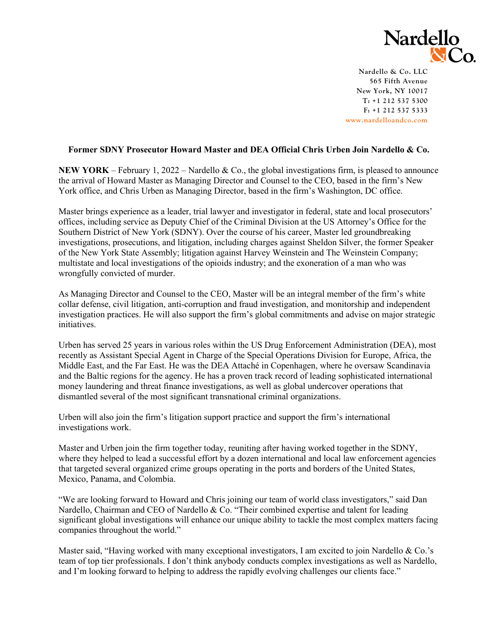

**Nardello & Co. LLC 565 Fifth Avenue New York, NY 10017 T: +1 212 537 5300 F: +1 212 537 5333 [www.nardelloandco.com](http://www.nardelloandco.com/)**

## **Former SDNY Prosecutor Howard Master and DEA Official Chris Urben Join Nardello & Co.**

**NEW YORK** – February 1, 2022 – Nardello & Co., the global investigations firm, is pleased to announce the arrival of Howard Master as Managing Director and Counsel to the CEO, based in the firm's New York office, and Chris Urben as Managing Director, based in the firm's Washington, DC office.

Master brings experience as a leader, trial lawyer and investigator in federal, state and local prosecutors' offices, including service as Deputy Chief of the Criminal Division at the US Attorney's Office for the Southern District of New York (SDNY). Over the course of his career, Master led groundbreaking investigations, prosecutions, and litigation, including charges against Sheldon Silver, the former Speaker of the New York State Assembly; litigation against Harvey Weinstein and The Weinstein Company; multistate and local investigations of the opioids industry; and the exoneration of a man who was wrongfully convicted of murder.

As Managing Director and Counsel to the CEO, Master will be an integral member of the firm's white collar defense, civil litigation, anti-corruption and fraud investigation, and monitorship and independent investigation practices. He will also support the firm's global commitments and advise on major strategic initiatives.

Urben has served 25 years in various roles within the US Drug Enforcement Administration (DEA), most recently as Assistant Special Agent in Charge of the Special Operations Division for Europe, Africa, the Middle East, and the Far East. He was the DEA Attaché in Copenhagen, where he oversaw Scandinavia and the Baltic regions for the agency. He has a proven track record of leading sophisticated international money laundering and threat finance investigations, as well as global undercover operations that dismantled several of the most significant transnational criminal organizations.

Urben will also join the firm's litigation support practice and support the firm's international investigations work.

Master and Urben join the firm together today, reuniting after having worked together in the SDNY, where they helped to lead a successful effort by a dozen international and local law enforcement agencies that targeted several organized crime groups operating in the ports and borders of the United States, Mexico, Panama, and Colombia.

"We are looking forward to Howard and Chris joining our team of world class investigators," said Dan Nardello, Chairman and CEO of Nardello & Co. "Their combined expertise and talent for leading significant global investigations will enhance our unique ability to tackle the most complex matters facing companies throughout the world."

Master said, "Having worked with many exceptional investigators, I am excited to join Nardello & Co.'s team of top tier professionals. I don't think anybody conducts complex investigations as well as Nardello, and I'm looking forward to helping to address the rapidly evolving challenges our clients face."